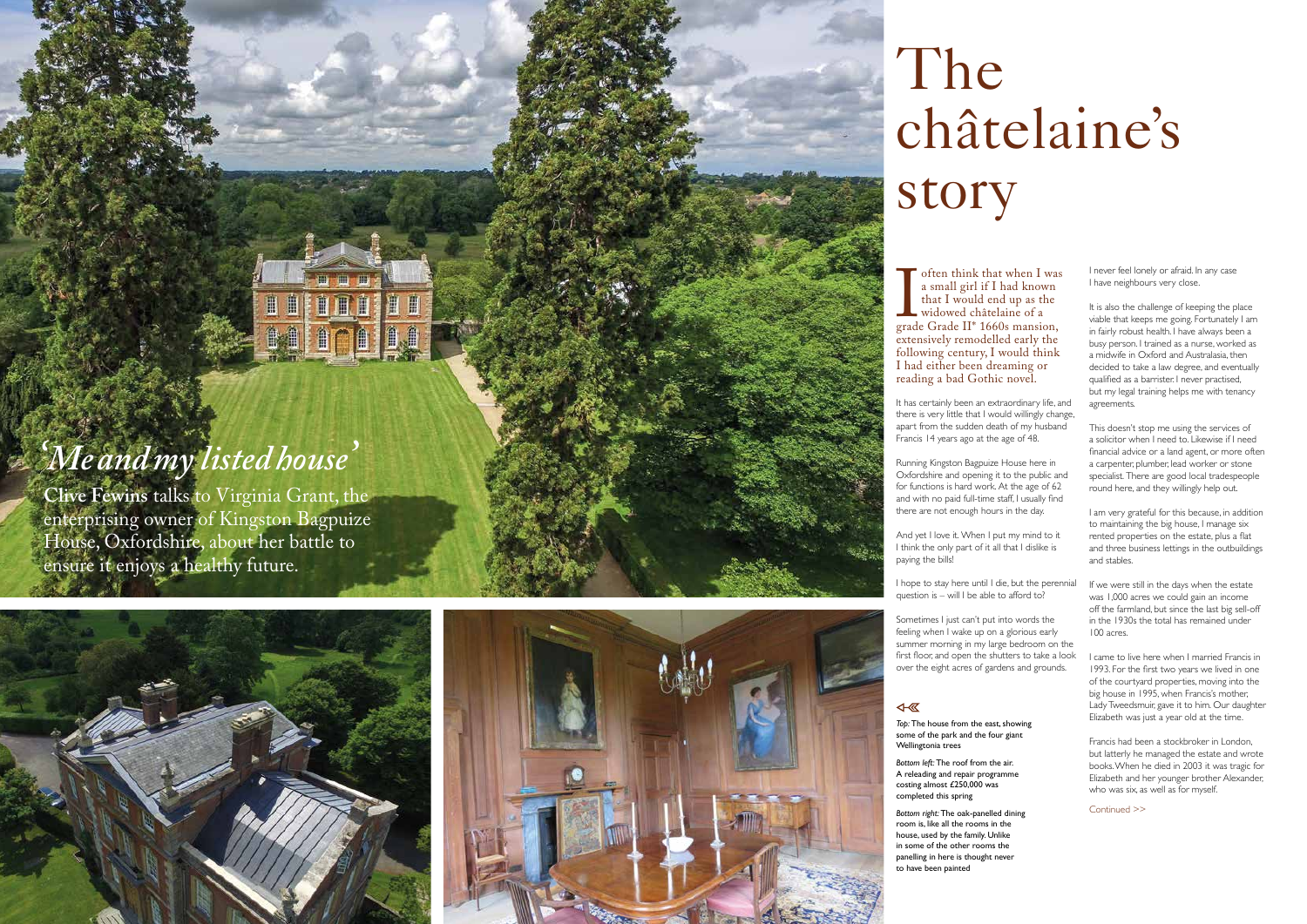Continued >>

*Top:* The house from the east, showing some of the park and the four giant Wellingtonia trees

*Bottom left:* The roof from the air. A releading and repair programme costing almost £250,000 was completed this spring

*Bottom right:* The oak-panelled dining room is, like all the rooms in the house, used by the family. Unlike in some of the other rooms the panelling in here is thought never to have been painted

# **THE**  $\blacksquare$ 自仁

## *'Me and my listed house '*

often think that when I was<br>a small girl if I had known<br>that I would end up as the<br>widowed châtelaine of a<br>grade Grade II<sup>\*</sup> 1660s mansion,<br>extensively remodelled early the a small girl if I had known that I would end up as the widowed châtelaine of a grade Grade II\* 1660s mansion, extensively remodelled early the following century, I would think I had either been dreaming or reading a bad Gothic novel.

**Clive Fewins** talks to Virginia Grant, the enterprising owner of Kingston Bagpuize House, Oxfordshire, about her battle to ensure it enjoys a healthy future.





# The châtelaine's story

I hope to stay here until I die, but the perennial question is  $-$  will I be able to afford to?

It has certainly been an extraordinary life, and there is very little that I would willingly change, apart from the sudden death of my husband Francis 14 years ago at the age of 48.

It is also the challenge of keeping the place viable that keeps me going. Fortunately I am in fairly robust health. I have always been a busy person. I trained as a nurse, worked as a midwife in Oxford and Australasia, then decided to take a law degree, and eventually qualified as a barrister. I never practised, but my legal training helps me with tenancy agreements.

Running Kingston Bagpuize House here in Oxfordshire and opening it to the public and for functions is hard work. At the age of 62 and with no paid full-time staff, I usually find there are not enough hours in the day.

And yet I love it. When I put my mind to it I think the only part of it all that I dislike is paying the bills!

> If we were still in the days when the estate was 1,000 acres we could gain an income off the farmland, but since the last big sell-off in the 1930s the total has remained under 100 acres.

Sometimes I just can't put into words the feeling when I wake up on a glorious early summer morning in my large bedroom on the first floor, and open the shutters to take a look over the eight acres of gardens and grounds.

#### 4- 区

I never feel lonely or afraid. In any case I have neighbours very close.

This doesn't stop me using the services of a solicitor when I need to. Likewise if I need financial advice or a land agent, or more often a carpenter, plumber, lead worker or stone specialist. There are good local tradespeople round here, and they willingly help out.

I am very grateful for this because, in addition to maintaining the big house, I manage six rented properties on the estate, plus a flat and three business lettings in the outbuildings and stables.

I came to live here when I married Francis in 1993. For the first two years we lived in one of the courtyard properties, moving into the big house in 1995, when Francis's mother, Lady Tweedsmuir, gave it to him. Our daughter Elizabeth was just a year old at the time.

Francis had been a stockbroker in London, but latterly he managed the estate and wrote books. When he died in 2003 it was tragic for Elizabeth and her younger brother Alexander, who was six, as well as for myself.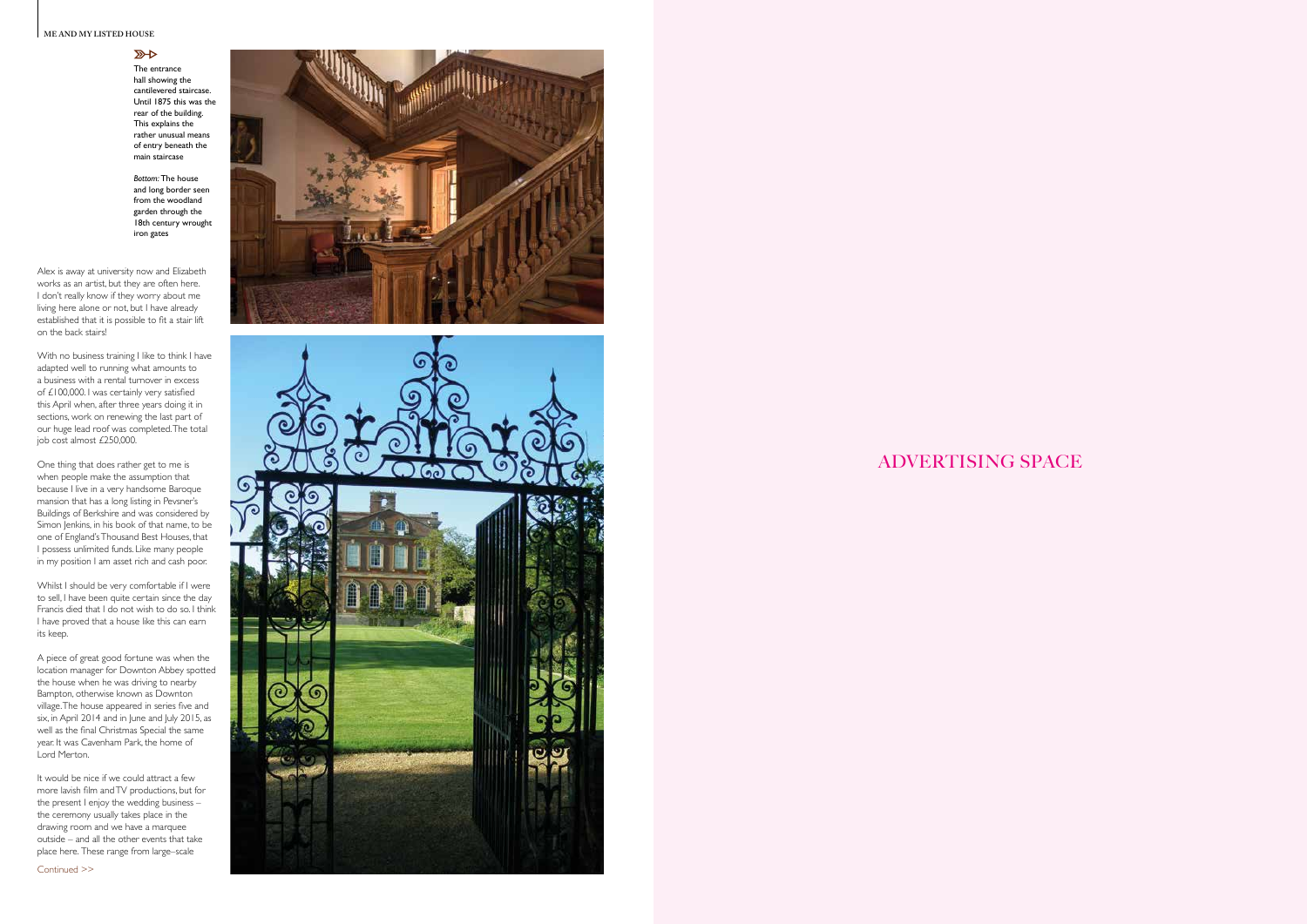#### **ME AND MY LISTED HOUSE**

#### $\mathbb{Z}$

ADVERTISING SPACE

Continued >>





The entrance hall showing the cantilevered staircase. Until 1875 this was the rear of the building. This explains the rather unusual means of entry beneath the main staircase

*Bottom:* The house and long border seen from the woodland garden through the 18th century wrought iron gates

Alex is away at university now and Elizabeth works as an artist, but they are often here. I don't really know if they worry about me living here alone or not, but I have already established that it is possible to fit a stair lift on the back stairs!

With no business training I like to think I have adapted well to running what amounts to a business with a rental turnover in excess of £100,000. I was certainly very satisfied this April when, after three years doing it in sections, work on renewing the last part of our huge lead roof was completed. The total job cost almost £250,000.

It would be nice if we could attract a few more lavish film and TV productions, but for the present I enjoy the wedding business – the ceremony usually takes place in the drawing room and we have a marquee outside – and all the other events that take place here. These range from large–scale

One thing that does rather get to me is when people make the assumption that because I live in a very handsome Baroque mansion that has a long listing in Pevsner's Buildings of Berkshire and was considered by Simon Jenkins, in his book of that name, to be one of England's Thousand Best Houses, that I possess unlimited funds. Like many people in my position I am asset rich and cash poor.

Whilst I should be very comfortable if I were to sell, I have been quite certain since the day Francis died that I do not wish to do so. I think I have proved that a house like this can earn its keep.

A piece of great good fortune was when the location manager for Downton Abbey spotted the house when he was driving to nearby Bampton, otherwise known as Downton village. The house appeared in series five and six, in April 2014 and in June and July 2015, as well as the final Christmas Special the same year. It was Cavenham Park, the home of Lord Merton.